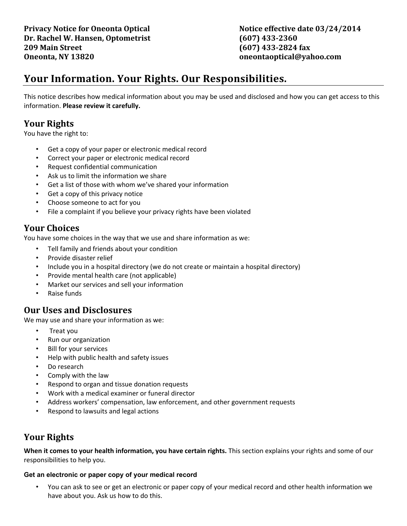Privacy Notice for Oneonta Optical Notice effective date  $03/24/2014$ **Dr. Rachel W. Hansen, Optometrist (607) 433-2360 209 Main Street (607) 433-2824 fax Oneonta, NY 13820 oneontaoptical@yahoo.com**

# **Your Information. Your Rights. Our Responsibilities.**

This notice describes how medical information about you may be used and disclosed and how you can get access to this information. **Please review it carefully.**

## **Your Rights**

You have the right to:

- Get a copy of your paper or electronic medical record
- Correct your paper or electronic medical record
- Request confidential communication
- Ask us to limit the information we share
- Get a list of those with whom we've shared your information
- Get a copy of this privacy notice
- Choose someone to act for you
- File a complaint if you believe your privacy rights have been violated

## **Your Choices**

You have some choices in the way that we use and share information as we:

- Tell family and friends about your condition
- Provide disaster relief
- Include you in a hospital directory (we do not create or maintain a hospital directory)
- Provide mental health care (not applicable)
- Market our services and sell your information
- Raise funds

## **Our Uses and Disclosures**

We may use and share your information as we:

- Treat you
- Run our organization
- Bill for your services
- Help with public health and safety issues
- Do research
- Comply with the law
- Respond to organ and tissue donation requests
- Work with a medical examiner or funeral director
- Address workers' compensation, law enforcement, and other government requests
- Respond to lawsuits and legal actions

## **Your Rights**

**When it comes to your health information, you have certain rights.** This section explains your rights and some of our responsibilities to help you.

## **Get an electronic or paper copy of your medical record**

• You can ask to see or get an electronic or paper copy of your medical record and other health information we have about you. Ask us how to do this.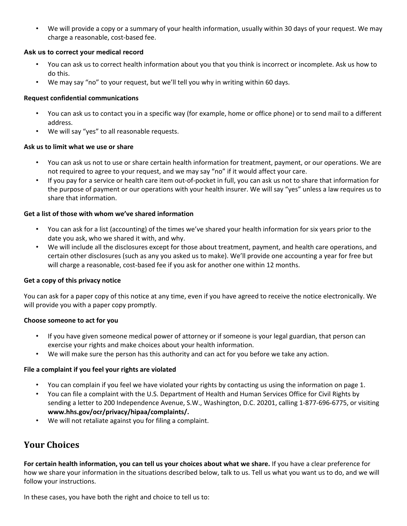• We will provide a copy or a summary of your health information, usually within 30 days of your request. We may charge a reasonable, cost-based fee.

## **Ask us to correct your medical record**

- You can ask us to correct health information about you that you think is incorrect or incomplete. Ask us how to do this.
- We may say "no" to your request, but we'll tell you why in writing within 60 days.

## **Request confidential communications**

- You can ask us to contact you in a specific way (for example, home or office phone) or to send mail to a different address.
- We will say "yes" to all reasonable requests.

## **Ask us to limit what we use or share**

- You can ask us not to use or share certain health information for treatment, payment, or our operations. We are not required to agree to your request, and we may say "no" if it would affect your care.
- If you pay for a service or health care item out-of-pocket in full, you can ask us not to share that information for the purpose of payment or our operations with your health insurer. We will say "yes" unless a law requires us to share that information.

## **Get a list of those with whom we've shared information**

- You can ask for a list (accounting) of the times we've shared your health information for six years prior to the date you ask, who we shared it with, and why.
- We will include all the disclosures except for those about treatment, payment, and health care operations, and certain other disclosures (such as any you asked us to make). We'll provide one accounting a year for free but will charge a reasonable, cost-based fee if you ask for another one within 12 months.

## **Get a copy of this privacy notice**

You can ask for a paper copy of this notice at any time, even if you have agreed to receive the notice electronically. We will provide you with a paper copy promptly.

## **Choose someone to act for you**

- If you have given someone medical power of attorney or if someone is your legal guardian, that person can exercise your rights and make choices about your health information.
- We will make sure the person has this authority and can act for you before we take any action.

## **File a complaint if you feel your rights are violated**

- You can complain if you feel we have violated your rights by contacting us using the information on page 1.
- You can file a complaint with the U.S. Department of Health and Human Services Office for Civil Rights by sending a letter to 200 Independence Avenue, S.W., Washington, D.C. 20201, calling 1-877-696-6775, or visiting **www.hhs.gov/ocr/privacy/hipaa/complaints/.**
- We will not retaliate against you for filing a complaint.

## **Your Choices**

**For certain health information, you can tell us your choices about what we share.** If you have a clear preference for how we share your information in the situations described below, talk to us. Tell us what you want us to do, and we will follow your instructions.

In these cases, you have both the right and choice to tell us to: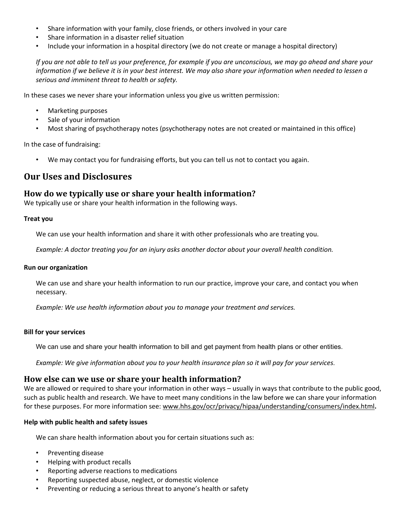- Share information with your family, close friends, or others involved in your care
- Share information in a disaster relief situation
- Include your information in a hospital directory (we do not create or manage a hospital directory)

*If you are not able to tell us your preference, for example if you are unconscious, we may go ahead and share your information if we believe it is in your best interest. We may also share your information when needed to lessen a serious and imminent threat to health or safety.*

In these cases we never share your information unless you give us written permission:

- Marketing purposes
- Sale of your information
- Most sharing of psychotherapy notes (psychotherapy notes are not created or maintained in this office)

In the case of fundraising:

• We may contact you for fundraising efforts, but you can tell us not to contact you again.

## **Our Uses and Disclosures**

## **How do we typically use or share your health information?**

We typically use or share your health information in the following ways.

### **Treat you**

We can use your health information and share it with other professionals who are treating you.

*Example: A doctor treating you for an injury asks another doctor about your overall health condition.*

#### **Run our organization**

We can use and share your health information to run our practice, improve your care, and contact you when necessary.

*Example: We use health information about you to manage your treatment and services.* 

#### **Bill for your services**

We can use and share your health information to bill and get payment from health plans or other entities.

*Example: We give information about you to your health insurance plan so it will pay for your services.* 

## **How else can we use or share your health information?**

We are allowed or required to share your information in other ways – usually in ways that contribute to the public good, such as public health and research. We have to meet many conditions in the law before we can share your information for these purposes. For more information see: [www.hhs.gov/ocr/privacy/hipaa/understanding/consumers/index.html](http://www.hhs.gov/ocr/privacy/hipaa/understanding/consumers/index.html)**.**

## **Help with public health and safety issues**

We can share health information about you for certain situations such as:

- Preventing disease
- Helping with product recalls
- Reporting adverse reactions to medications
- Reporting suspected abuse, neglect, or domestic violence
- Preventing or reducing a serious threat to anyone's health or safety